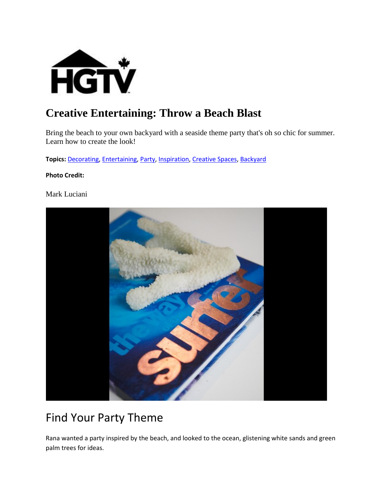

#### **Creative Entertaining: Throw a Beach Blast**

Bring the beach to your own backyard with a seaside theme party that's oh so chic for summer. Learn how to create the look!

**Topics:** [Decorating,](http://www.hgtv.ca/search/?nav=Ntk:all%7CDecorating%7C3%7C) [Entertaining,](http://www.hgtv.ca/search/?nav=Ntk:all%7CEntertaining%7C3%7C) [Party,](http://www.hgtv.ca/search/?nav=Ntk:all%7CParty%7C3%7C) [Inspiration,](http://www.hgtv.ca/search/?nav=Ntk:all%7CInspiration%7C3%7C) [Creative Spaces,](http://www.hgtv.ca/search/?nav=Ntk:all%7CCreative+Spaces%7C3%7C) [Backyard](http://www.hgtv.ca/search/?nav=Ntk:all%7CBackyard%7C3%7C)

#### **Photo Credit:**

Mark Luciani



#### Find Your Party Theme

Rana wanted a party inspired by the beach, and looked to the ocean, glistening white sands and green palm trees for ideas.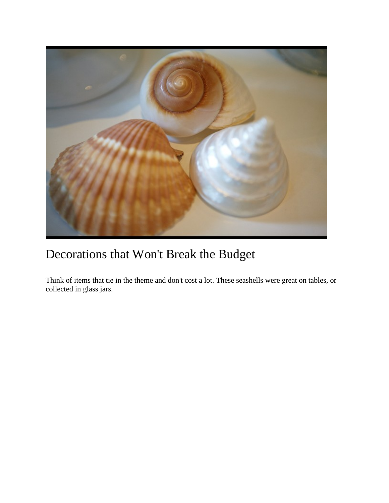

# Decorations that Won't Break the Budget

Think of items that tie in the theme and don't cost a lot. These seashells were great on tables, or collected in glass jars.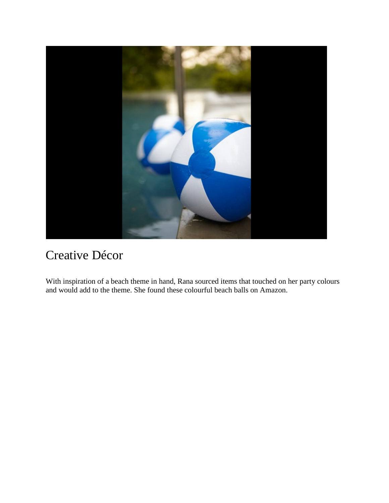

#### Creative Décor

With inspiration of a beach theme in hand, Rana sourced items that touched on her party colours and would add to the theme. She found these colourful beach balls on Amazon.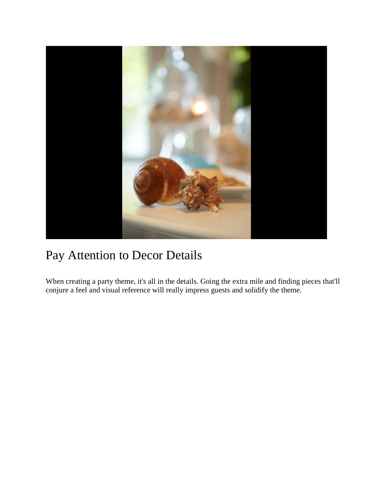

### Pay Attention to Decor Details

When creating a party theme, it's all in the details. Going the extra mile and finding pieces that'll conjure a feel and visual reference will really impress guests and solidify the theme.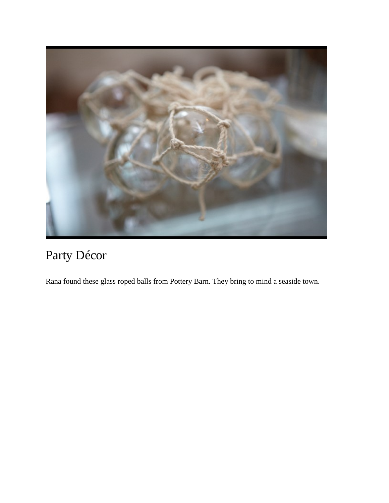

# Party Décor

Rana found these glass roped balls from Pottery Barn. They bring to mind a seaside town.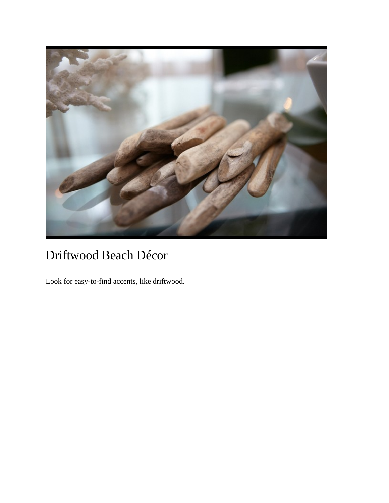

# Driftwood Beach Décor

Look for easy-to-find accents, like driftwood.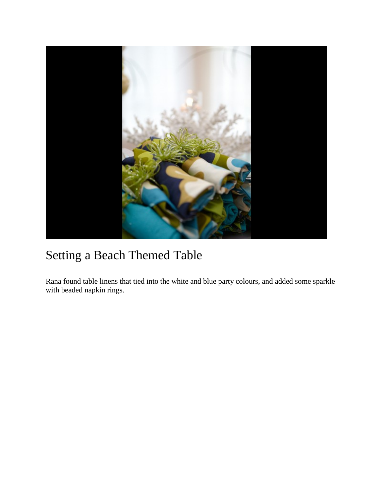

# Setting a Beach Themed Table

Rana found table linens that tied into the white and blue party colours, and added some sparkle with beaded napkin rings.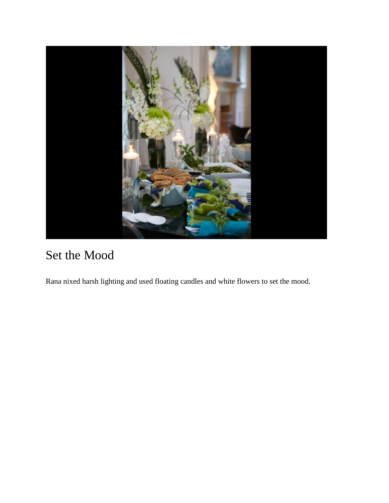

# Set the Mood

Rana nixed harsh lighting and used floating candles and white flowers to set the mood.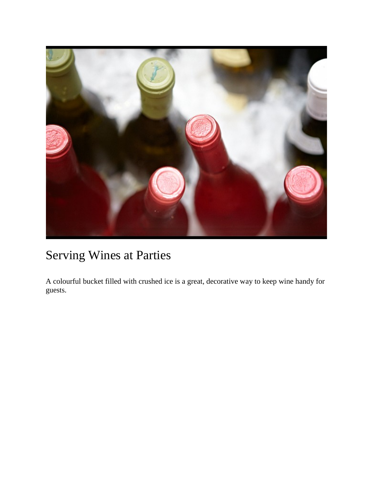

# Serving Wines at Parties

A colourful bucket filled with crushed ice is a great, decorative way to keep wine handy for guests.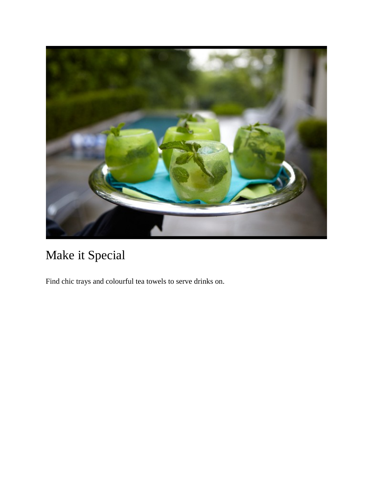

# Make it Special

Find chic trays and colourful tea towels to serve drinks on.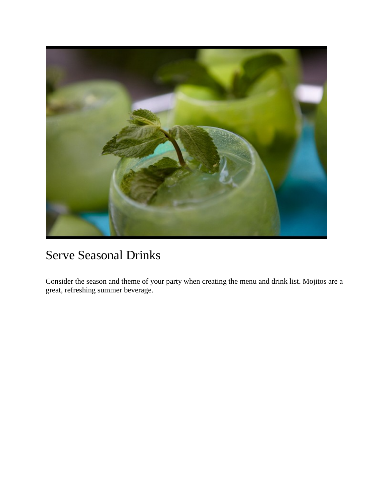

#### Serve Seasonal Drinks

Consider the season and theme of your party when creating the menu and drink list. Mojitos are a great, refreshing summer beverage.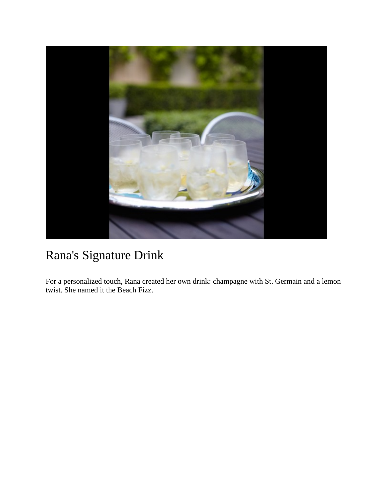

# Rana's Signature Drink

For a personalized touch, Rana created her own drink: champagne with St. Germain and a lemon twist. She named it the Beach Fizz.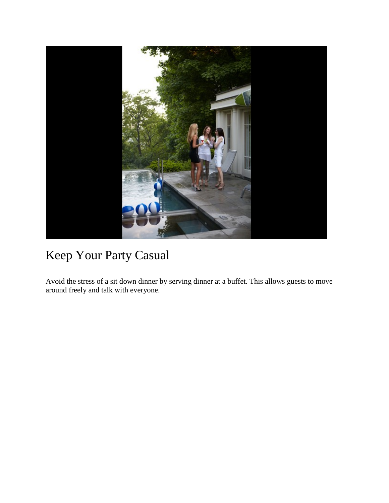

# Keep Your Party Casual

Avoid the stress of a sit down dinner by serving dinner at a buffet. This allows guests to move around freely and talk with everyone.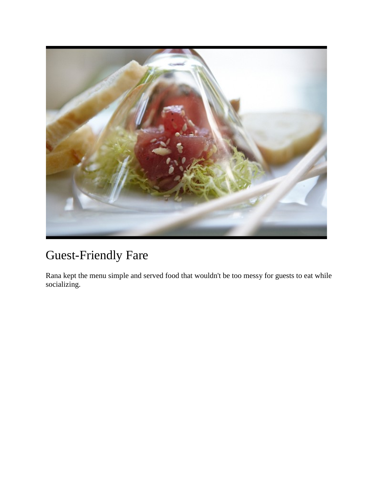

# Guest-Friendly Fare

Rana kept the menu simple and served food that wouldn't be too messy for guests to eat while socializing.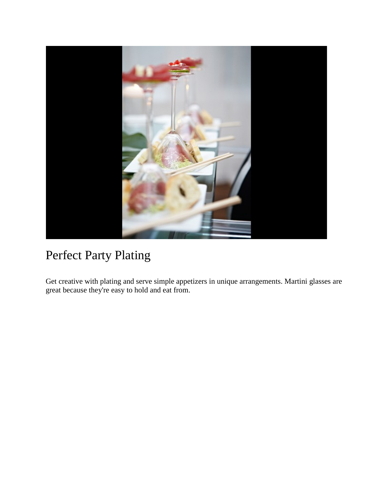

# Perfect Party Plating

Get creative with plating and serve simple appetizers in unique arrangements. Martini glasses are great because they're easy to hold and eat from.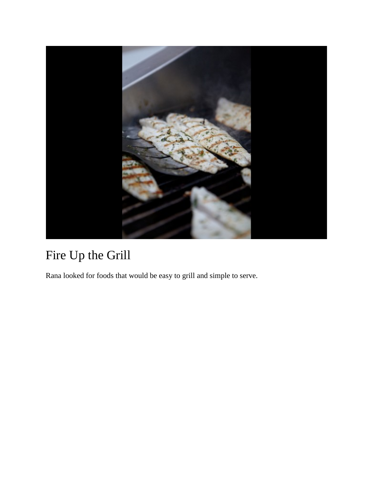

# Fire Up the Grill

Rana looked for foods that would be easy to grill and simple to serve.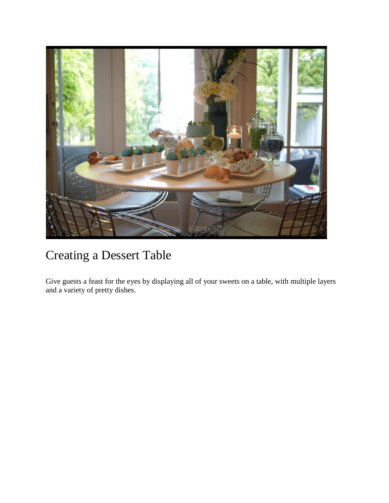

# Creating a Dessert Table

Give guests a feast for the eyes by displaying all of your sweets on a table, with multiple layers and a variety of pretty dishes.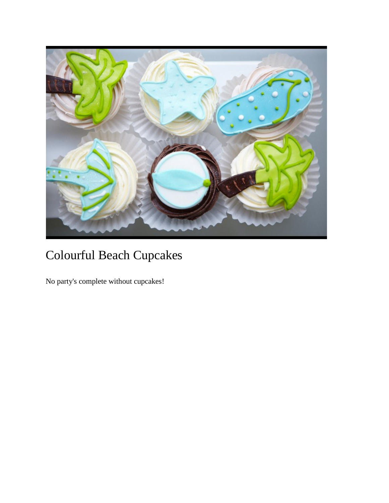

# Colourful Beach Cupcakes

No party's complete without cupcakes!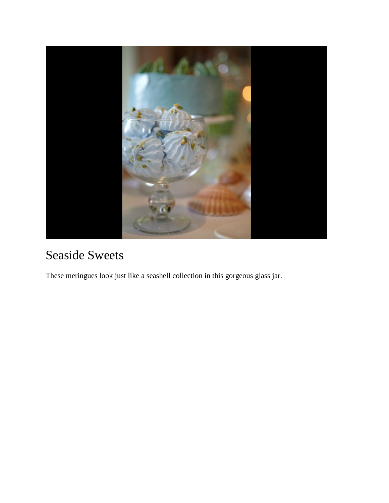

# Seaside Sweets

These meringues look just like a seashell collection in this gorgeous glass jar.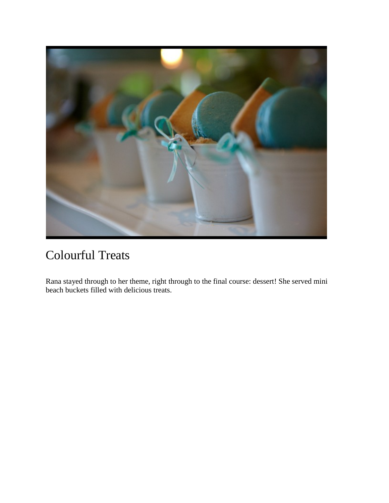

# Colourful Treats

Rana stayed through to her theme, right through to the final course: dessert! She served mini beach buckets filled with delicious treats.